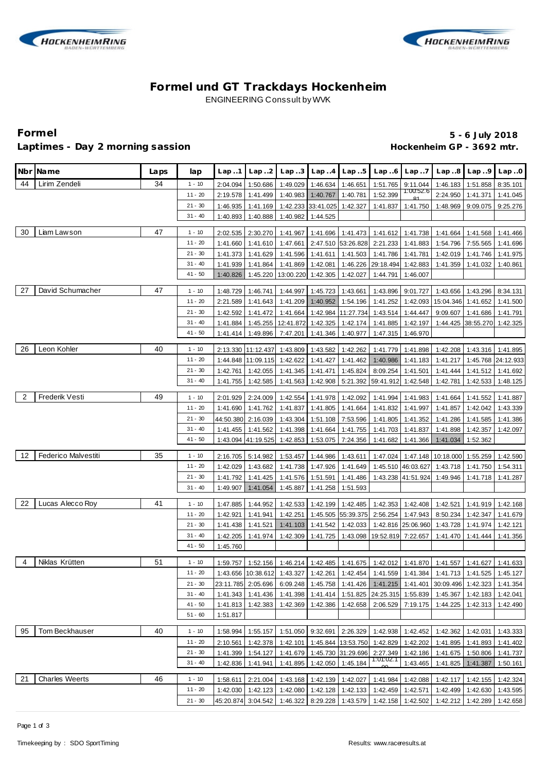



# **Formel und GT Trackdays Hockenheim** ENGINEERING Conssult by WVK

## Laptimes - Day 2 morning sassion **Accord 2 and 2 and 2 and 2 and 2 and 2 and 2 and 2 and 2 and 2 and 2 and 2 and 2 and 2 and 2 and 2 and 2 and 2 and 2 and 2 and 2 and 2 and 2 and 2 and 2 and 2 and 2 and 2 and 2 and 2 and 2**

**Formel 5 - 6 July 2018**

|                | Nbr Name                   | Laps | lap                    | Lap.1     | Lap.2              | Lap.3     | Lap.4                       | Lap.5              | Lap.6                       | Lap.7              | Lap.8                                                                                                       | Lap.9     | Lap.0     |
|----------------|----------------------------|------|------------------------|-----------|--------------------|-----------|-----------------------------|--------------------|-----------------------------|--------------------|-------------------------------------------------------------------------------------------------------------|-----------|-----------|
| 44             | Lirim Zendeli              | 34   | $1 - 10$               | 2:04.094  | 1:50.686           | 1:49.029  | 1:46.634                    | 1:46.651           | 1:51.765                    | 9:11.044           | 1:46.183                                                                                                    | 1:51.858  | 8:35.101  |
|                |                            |      | $11 - 20$              | 2:19.578  | 1:41.499           | 1:40.983  | 1:40.767                    | 1:40.781           | 1:52.399                    | 1:00:52.6          | 2:24.950                                                                                                    | 1:41.371  | 1:41.045  |
|                |                            |      | $21 - 30$              | 1:46.935  | 1:41.169           |           | 1:42.233 33:41.025          | 1:42.327           | 1:41.837                    | 1:41.750           | 1:48.969                                                                                                    | 9:09.075  | 9:25.276  |
|                |                            |      | $31 - 40$              | 1:40.893  | 1:40.888           | 1:40.982  | 1:44.525                    |                    |                             |                    |                                                                                                             |           |           |
|                |                            |      |                        |           |                    |           |                             |                    |                             |                    |                                                                                                             |           |           |
| 30             | Liam Lawson                | 47   | $1 - 10$               | 2:02.535  | 2:30.270           | 1:41.967  | 1:41.696                    |                    | 1:41.473 1:41.612 1:41.738  |                    | 1:41.664                                                                                                    | 1:41.568  | 1:41.466  |
|                |                            |      | $11 - 20$              | 1:41.660  | 1:41.610           | 1:47.661  |                             |                    | 2:47.510 53:26.828 2:21.233 | 1:41.883           | 1:54.796                                                                                                    | 7:55.565  | 1:41.696  |
|                |                            |      | $21 - 30$<br>$31 - 40$ | 1:41.373  | 1:41.629           | 1:41.596  | 1:41.611                    | 1:41.503           | 1:41.786                    | 1:41.781           | 1:42.019                                                                                                    | 1:41.746  | 1:41.975  |
|                |                            |      | $41 - 50$              | 1:41.939  | 1:41.864           | 1:41.869  | 1:42.081                    | 1:46.226           | 29:18.494                   | 1:42.883           | 1:41.359                                                                                                    | 1:41.032  | 1:40.861  |
|                |                            |      |                        | 1:40.826  | 1:45.220           | 13:00.220 | 1:42.305                    | 1:42.027           | 1:44.791                    | 1:46.007           |                                                                                                             |           |           |
| 27             | David Schumacher           | 47   | $1 - 10$               | 1:48.729  | 1:46.741           | 1:44.997  | 1:45.723                    | 1:43.661           | 1:43.896                    | 9:01.727           | 1:43.656                                                                                                    | 1:43.296  | 8:34.131  |
|                |                            |      | $11 - 20$              | 2:21.589  | 1:41.643           | 1:41.209  | 1:40.952                    | 1:54.196           | 1:41.252                    | 1:42.093           | 15:04.346                                                                                                   | 1:41.652  | 1:41.500  |
|                |                            |      | $21 - 30$              | 1:42.592  | 1:41.472           | 1:41.664  | 1:42.984                    | 11:27.734          | 1:43.514                    | 1:44.447           | 9:09.607                                                                                                    | 1:41.686  | 1:41.791  |
|                |                            |      | $31 - 40$              | 1:41.884  | 1:45.255           | 12:41.872 | 1:42.325                    | 1:42.174           | 1:41.885                    | 1:42.197           | 1:44.425                                                                                                    | 38:55.270 | 1:42.325  |
|                |                            |      | $41 - 50$              | 1:41.414  | 1:49.896           | 7:47.201  | 1:41.346                    | 1:40.977           | 1:47.315                    | 1:46.970           |                                                                                                             |           |           |
| 26             | Leon Kohler                | 40   | $1 - 10$               |           | 2:13.330 11:12.437 | 1:43.809  | 1:43.582                    | 1:42.262           | 1:41.779                    | 1:41.898           | 1:42.208                                                                                                    | 1:43.316  | 1:41.895  |
|                |                            |      | $11 - 20$              |           | 1:44.848 11:09.115 | 1:42.622  | 1:41.427                    | 1:41.462           | 1:40.986                    | 1:41.183           | 1:41.217                                                                                                    | 1:45.768  | 24:12.933 |
|                |                            |      | $21 - 30$              | 1:42.761  | 1:42.055           | 1:41.345  | 1:41.471                    | 1:45.824           | 8:09.254                    | 1:41.501           | 1:41.444                                                                                                    | 1:41.512  | 1:41.692  |
|                |                            |      | $31 - 40$              | 1:41.755  | 1:42.585           | 1:41.563  | 1:42.908                    | 5:21.392           | 59:41.912                   | 1:42.548           | 1:42.781                                                                                                    | 1:42.533  | 1:48.125  |
|                |                            |      |                        |           |                    |           |                             |                    |                             |                    |                                                                                                             |           |           |
| $\overline{2}$ | Frederik Vesti             | 49   | $1 - 10$               | 2:01.929  | 2:24.009           | 1:42.554  | 1:41.978                    | 1:42.092           | 1:41.994                    | 1:41.983           | 1:41.664                                                                                                    | 1:41.552  | 1:41.887  |
|                |                            |      | $11 - 20$              | 1:41.690  | 1:41.762           | 1:41.837  | 1:41.805                    | 1:41.664           | 1:41.832                    | 1:41.997           | 1:41.857                                                                                                    | 1:42.042  | 1:43.339  |
|                |                            |      | $21 - 30$              | 44:50.380 | 2:16.039           | 1:43.304  | 1:51.108                    | 7:53.596           | 1:41.805                    | 1:41.352           | 1:41.286                                                                                                    | 1:41.585  | 1:41.386  |
|                |                            |      | $31 - 40$              | 1:41.455  | 1:41.562           | 1:41.398  | 1:41.664                    | 1:41.755           | 1:41.703                    | 1:41.837           | 1:41.898                                                                                                    | 1:42.357  | 1:42.097  |
|                |                            |      | $41 - 50$              |           | 1:43.094 41:19.525 | 1:42.853  | 1:53.075                    | 7:24.356           | 1:41.682                    | 1:41.366           | 1:41.034                                                                                                    | 1:52.362  |           |
| 12             | <b>Federico Malvestiti</b> | 35   | $1 - 10$               | 2:16.705  | 5:14.982           | 1:53.457  | 1:44.986                    | 1:43.611           | 1:47.024                    | 1:47.148           | 10:18.000                                                                                                   | 1:55.259  | 1:42.590  |
|                |                            |      | $11 - 20$              | 1:42.029  | 1:43.682           | 1:41.738  | 1:47.926                    | 1:41.649           |                             | 1:45.510 46:03.627 | 1:43.718                                                                                                    | 1:41.750  | 1:54.311  |
|                |                            |      | $21 - 30$              | 1:41.792  | 1:41.425           | 1:41.576  | 1:51.591                    | 1:41.486           |                             | 1:43.238 41:51.924 | 1:49.946                                                                                                    | 1:41.718  | 1:41.287  |
|                |                            |      | $31 - 40$              | 1:49.907  | 1:41.054           | 1:45.887  | 1:41.258                    | 1:51.593           |                             |                    |                                                                                                             |           |           |
|                |                            |      |                        |           |                    |           |                             |                    |                             |                    |                                                                                                             |           |           |
| 22             | Lucas Alecco Roy           | 41   | $1 - 10$               | 1:47.885  | 1:44.952           | 1:42.533  | 1:42.199                    | 1:42.485           | 1:42.353                    | 1:42.408           | 1:42.521                                                                                                    | 1:41.919  | 1:42.168  |
|                |                            |      | $11 - 20$              | 1:42.921  | 1:41.941           | 1:42.251  |                             | 1:45.505 55:39.375 | 2:56.254                    | 1:47.943           | 8:50.234                                                                                                    | 1:42.347  | 1:41.679  |
|                |                            |      | $21 - 30$              | 1:41.438  | 1:41.521           | 1:41.103  | 1:41.542                    | 1:42.033           |                             | 1:42.816 25:06.960 | 1:43.728                                                                                                    | 1:41.974  | 1:42.121  |
|                |                            |      | $31 - 40$              | 1:42.205  | 1:41.974           | 1:42.309  | 1:41.725                    | 1:43.098           | 19:52.819                   | 7:22.657           | 1:41.470                                                                                                    | 1:41.444  | 1:41.356  |
|                |                            |      | $41 - 50$              | 1:45.760  |                    |           |                             |                    |                             |                    |                                                                                                             |           |           |
| 4              | Niklas Krütten             | 51   | $1 - 10$               |           |                    |           |                             |                    |                             |                    | 1:59.757   1:52.156   1:46.214   1:42.485   1:41.675   1:42.012   1:41.870   1:41.557   1:41.627   1:41.633 |           |           |
|                |                            |      | $11 - 20$              |           |                    |           |                             |                    |                             |                    | 1:43.656 10:38.612 1:43.327 1:42.261 1:42.454 1:41.559 1:41.384 1:41.713 1:41.525 1:45.127                  |           |           |
|                |                            |      | $21 - 30$              |           | 23:11.785 2:05.696 |           |                             |                    |                             |                    | 6:09.248   1:45.758   1:41.426   1:41.215   1:41.401   30:09.496   1:42.323   1:41.354                      |           |           |
|                |                            |      | $31 - 40$              | 1:41.343  | 1:41.436           | 1:41.398  | 1:41.414                    |                    | 1:51.825 24:25.315 1:55.839 |                    | 1:45.367                                                                                                    | 1:42.183  | 1:42.041  |
|                |                            |      | $41 - 50$              |           | 1:41.813 1:42.383  | 1:42.369  | 1:42.386                    | 1:42.658           |                             | 2:06.529 7:19.175  | 1:44.225                                                                                                    | 1:42.313  | 1:42.490  |
|                |                            |      | $51 - 60$              | 1:51.817  |                    |           |                             |                    |                             |                    |                                                                                                             |           |           |
| 95             | <b>Tom Beckhauser</b>      | 40   | $1 - 10$               | 1:58.994  | 1:55.157           |           |                             |                    |                             |                    | 1:51.050   9:32.691   2:26.329   1:42.938   1:42.452   1:42.362   1:42.031                                  |           | 1:43.333  |
|                |                            |      | $11 - 20$              | 2:10.561  | 1:42.378           | 1:42.101  |                             |                    | 1:45.844 13:53.750 1:42.829 | 1:42.202           | 1:41.895                                                                                                    | 1:41.893  | 1:41.402  |
|                |                            |      | $21 - 30$              | 1:41.399  | 1:54.127           |           | 1:41.679 1:45.730 31:29.696 |                    | 2:27.349                    |                    | 1:42.186   1:41.675   1:50.806   1:41.737                                                                   |           |           |
|                |                            |      | $31 - 40$              | 1:42.836  | 1:41.941           |           | 1:41.895 1:42.050 1:45.184  |                    | 1:01:02.1                   | 1:43.465           | 1:41.825   1:41.387                                                                                         |           | 1:50.161  |
| 21             | <b>Charles Weerts</b>      | 46   | $1 - 10$               | 1:58.611  | 2:21.004           |           | 1:43.168 1:42.139 1:42.027  |                    |                             |                    | 1:41.984   1:42.088   1:42.117   1:42.155                                                                   |           | 1:42.324  |
|                |                            |      | 11 - 20                | 1:42.030  | 1:42.123           |           | 1:42.080 1:42.128 1:42.133  |                    |                             | 1:42.459 1:42.571  | 1:42.499 1:42.630                                                                                           |           | 1:43.595  |
|                |                            |      | $21 - 30$              |           | 45:20.874 3:04.542 | 1:46.322  |                             | 8:29.228 1:43.579  |                             | 1:42.158 1:42.502  | 1:42.212 1:42.289                                                                                           |           | 1:42.658  |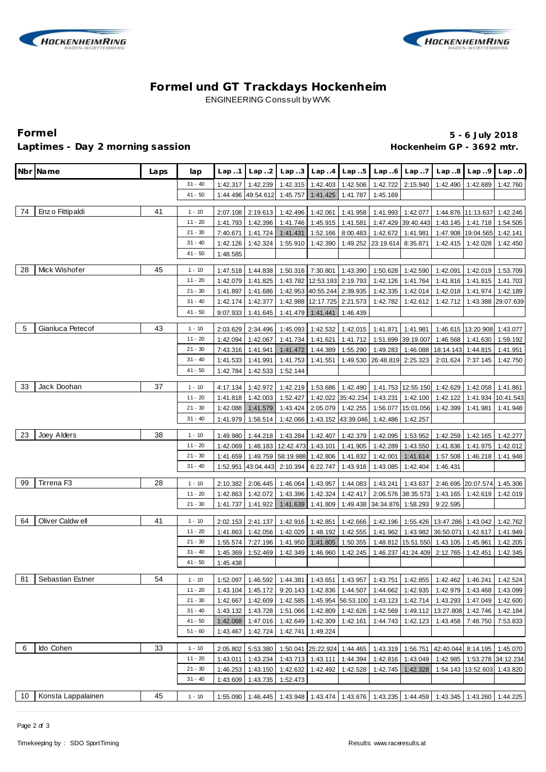



# **Formel und GT Trackdays Hockenheim** ENGINEERING Conssult by WVK

Laptimes - Day 2 morning sassion **Accord 2 and 2 and 2 and 2 and 2 and 2 and 2 and 2 and 2 and 2 and 2 and 2 and 2 and 2 and 2 and 2 and 2 and 2 and 2 and 2 and 2 and 2 and 2 and 2 and 2 and 2 and 2 and 2 and 2 and 2 and 2** 

**Formel 5 - 6 July 2018**

|    | Nbr Name           | Laps | lap                   | Lap.1                | Lap.2                                        | Lap.3                               | Lap.4                                            | Lap.5                | Lap.6                | Lap.7                          | Lap.8                                                | Lap.9                                     | Lap.0                |
|----|--------------------|------|-----------------------|----------------------|----------------------------------------------|-------------------------------------|--------------------------------------------------|----------------------|----------------------|--------------------------------|------------------------------------------------------|-------------------------------------------|----------------------|
|    |                    |      | $31 - 40$             | 1:42.317             | 1:42.239                                     | 1:42.315                            | 1:42.403                                         | 1:42.506             | 1:42.722             | 2:15.940                       | 1:42.490                                             | 1:42.689                                  | 1:42.760             |
|    |                    |      | $41 - 50$             | 1:44.496             | 49:54.612                                    | 1:45.757                            | 1:41.425                                         | 1:41.787             | 1:45.169             |                                |                                                      |                                           |                      |
| 74 | Enz o Fittip aldi  | 41   | $1 - 10$              |                      |                                              |                                     | 1:42.061                                         |                      |                      |                                |                                                      |                                           |                      |
|    |                    |      | $11 - 20$             | 2:07.108<br>1:41.793 | 2:19.613<br>1:42.396                         | 1:42.496<br>1:41.746                | 1:45.915                                         | 1:41.958<br>1:41.581 | 1:41.993             | 1:42.077<br>1:47.429 39:40.443 |                                                      | 1:44.876 11:13.637<br>1:43.145   1:41.718 | 1:42.246<br>1:54.505 |
|    |                    |      | $21 - 30$             | 7:40.671             | 1:41.724                                     | 1:41.431                            | 1:52.166                                         | 8:00.483             | 1:42.672             | 1:41.981                       | 1:47.908                                             | 19:04.565                                 | 1:42.141             |
|    |                    |      | $31 - 40$             | 1:42.126             | 1:42.324                                     | 1:55.910                            | 1:42.390                                         | 1:49.252             | 23:19.614            | 8:35.871                       | 1:42.415                                             | 1:42.028                                  | 1:42.450             |
|    |                    |      | $41 - 50$             | 1:48.585             |                                              |                                     |                                                  |                      |                      |                                |                                                      |                                           |                      |
|    |                    |      |                       |                      |                                              |                                     |                                                  |                      |                      |                                |                                                      |                                           |                      |
| 28 | Mick Wishofer      | 45   | $1 - 10$              | 1:47.518             | 1:44.838                                     | 1:50.316                            | 7:30.801                                         | 1:43.390             | 1:50.628             | 1:42.590                       | 1:42.091                                             | 1:42.019                                  | 1:53.709             |
|    |                    |      | $11 - 20$             | 1:42.079             | 1:41.825                                     | 1:43.782                            | 12:53.193                                        | 2:19.793             | 1:42.126             | 1:41.764                       | 1:41.816                                             | 1:41.815                                  | 1:41.703             |
|    |                    |      | $21 - 30$             | 1:41.897             | 1:41.686                                     | 1:42.953                            | 40:55.244 2:39.935                               |                      | 1:42.335             | 1:42.014                       | 1:42.018                                             | 1:41.974                                  | 1:42.189             |
|    |                    |      | $31 - 40$             | 1:42.174             | 1:42.377                                     | 1:42.988                            | 12:17.725 2:21.573                               |                      | 1:42.782             | 1:42.612                       | 1:42.712                                             | 1:43.388                                  | 29:07.639            |
|    |                    |      | 41 - 50               | 9:07.933             | 1:41.645                                     | 1:41.479                            | 1:41.441                                         | 1:46.439             |                      |                                |                                                      |                                           |                      |
| 5  | Gianluca Petecof   | 43   | $1 - 10$              | 2:03.629             | 2:34.496                                     | 1:45.093                            | 1:42.532                                         | 1:42.015             | 1:41.871             | 1:41.981                       |                                                      | 1:46.615 13:20.908                        | 1:43.077             |
|    |                    |      | $11 - 20$             | 1:42.094             | 1:42.067                                     | 1:41.734                            | 1:41.621                                         | 1:41.712             | 1:51.699             | 39:19.007                      | 1:46.568                                             | 1:41.630                                  | 1:59.192             |
|    |                    |      | $21 - 30$             | 7:43.316             | 1:41.941                                     | 1:41.472                            | 1:44.389                                         | 1:55.290             | 1:49.283             | 1:46.088                       | 18:14.143                                            | 1:44.815                                  | 1:41.951             |
|    |                    |      | $31 - 40$             | 1:41.533             | 1:41.991                                     | 1:41.753                            | 1:41.551                                         | 1:49.530             | 26:48.819 2:25.323   |                                | 2:01.624                                             | 7:37.145                                  | 1:42.750             |
|    |                    |      | $41 - 50$             | 1:42.784             | 1:42.533                                     | 1:52.144                            |                                                  |                      |                      |                                |                                                      |                                           |                      |
|    |                    |      |                       |                      |                                              |                                     |                                                  |                      |                      |                                |                                                      |                                           |                      |
| 33 | Jack Doohan        | 37   | $1 - 10$              | 4:17.134             | 1:42.972                                     | 1:42.219                            | 1:53.686                                         | 1:42.490             |                      | 1:41.753 12:55.150 1:42.629    |                                                      | 1:42.058                                  | 1:41.861             |
|    |                    |      | $11 - 20$             | 1:41.818             | 1:42.003                                     | 1:52.427                            | 1:42.022                                         | 35:42.234            | 1:43.231             | 1:42.100                       | 1:42.122                                             | 1:41.934                                  | 10:41.543            |
|    |                    |      | $21 - 30$             | 1:42.088             | 1:41.579                                     | 1:43.424                            | 2:05.079                                         | 1:42.255             | 1:56.077             | 15:01.056                      | 1:42.399                                             | 1:41.981                                  | 1:41.948             |
|    |                    |      | $31 - 40$             | 1:41.979             | 1:56.514                                     | 1:42.066                            | 1:43.152                                         | 43:39.046            | 1:42.486             | 1:42.257                       |                                                      |                                           |                      |
| 23 | Joey Alders        | 38   | $1 - 10$              | 1:49.980             | 1:44.218                                     | 1:43.284                            | 1:42.407                                         | 1:42.379             | 1:42.095             | 1:53.952                       | 1:42.259                                             | 1:42.165                                  | 1:42.277             |
|    |                    |      | $11 - 20$             | 1:42.069             | 1:48.183                                     | 12:42.473                           | 1:43.101                                         | 1:41.905             | 1:42.289             | 1:43.550                       | 1:41.836                                             | 1:41.975                                  | 1:42.012             |
|    |                    |      | $21 - 30$             | 1:41.659             | 1:49.759                                     | 58:19.988                           | 1:42.806                                         | 1:41.832             | 1:42.001             | 1:41.614                       | 1:57.508                                             | 1:46.218                                  | 1:41.948             |
|    |                    |      | $31 - 40$             | 1:52.951             | 43:04.443                                    | 2:10.394                            | 6:22.747                                         | 1:43.916             | 1:43.085             | 1:42.404                       | 1:46.431                                             |                                           |                      |
|    |                    |      |                       |                      |                                              |                                     |                                                  |                      |                      |                                |                                                      |                                           |                      |
| 99 | Tirrena F3         | 28   | $1 - 10$              | 2:10.382             | 2:06.445                                     | 1:46.064                            | 1:43.957                                         | 1:44.083             | 1:43.241             | 1:43.637                       |                                                      | 2:46.695 20:07.574                        | 1:45.306             |
|    |                    |      | $11 - 20$             | 1:42.863             | 1:42.072                                     | 1:43.396                            | 1:42.324                                         | 1:42.417             | 2:06.576             | 38:35.573                      | 1:43.165                                             | 1:42.619                                  | 1:42.019             |
|    |                    |      | $21 - 30$             | 1:41.737             | 1:41.922                                     | 1:41.639                            | 1:41.809                                         | 1:49.438             | 34:34.876            | 1:58.293                       | 9:22.595                                             |                                           |                      |
| 64 | Oliver Caldwell    | 41   | $1 - 10$              | 2:02.153             | 2:41.137                                     | 1:42.916                            | 1:42.851                                         | 1:42.666             |                      |                                | 1:42.196   1:55.426   13:47.286   1:43.042           |                                           | 1:42.762             |
|    |                    |      | $11 - 20$             | 1:41.863             | 1:42.056                                     | 1:42.029                            | 1:48.192                                         | 1:42.555             | 1:41.962             | 1:43.982                       | 36:50.071                                            | 1:42.617                                  | 1:41.949             |
|    |                    |      | $21 - 30$             | 1:55.574             | 7:27.196                                     | 1:41.950                            | 1:41.805                                         | 1:50.355             |                      | 1:48.812 15:51.550             | 1:43.105                                             | 1:45.961                                  | 1:42.205             |
|    |                    |      | $31 - 40$             | 1:45.369             | 1:52.469                                     | 1:42.349                            | 1:46.960                                         | 1:42.245             |                      | 1:46.237 41:24.409 2:12.765    |                                                      | 1:42.451                                  | 1:42.345             |
|    |                    |      | $41 - 50$             | 1:45.438             |                                              |                                     |                                                  |                      |                      |                                |                                                      |                                           |                      |
|    |                    |      |                       |                      |                                              |                                     |                                                  |                      |                      |                                |                                                      |                                           |                      |
| 81 | Sebastian Estner   | 54   | $1 - 10$<br>$11 - 20$ |                      | 1:52.097 1:46.592 1:44.381 1:43.651 1:43.957 |                                     |                                                  |                      |                      |                                | 1:43.751 1:42.855 1:42.462 1:46.241 1:42.524         |                                           |                      |
|    |                    |      | $21 - 30$             | 1:43.104             | 1:45.172                                     |                                     | 9:20.143 1:42.836<br>1:42.585 1:45.954 56:53.100 | 1:44.507             |                      |                                | 1:44.662   1:42.935   1:42.979   1:43.468            |                                           | 1:43.099             |
|    |                    |      | $31 - 40$             | 1:42.667             | 1:42.609                                     |                                     | 1:51.066 1:42.809                                |                      | 1:43.123             | 1:42.714                       | 1:49.112 13:27.808 1:42.746                          | 1:43.293 1:47.049                         | 1:42.600             |
|    |                    |      | $41 - 50$             | 1:42.068             | 1:43.132 1:43.728<br>1:47.016                |                                     | 1:42.649 1:42.309                                | 1:42.626<br>1:42.161 | 1:42.569<br>1:44.743 | 1:42.123                       | 1:43.458                                             | 7:48.750                                  | 1:42.184<br>7:53.833 |
|    |                    |      | $51 - 60$             | 1:43.467             | 1:42.724                                     | 1:42.741                            | 1:49.224                                         |                      |                      |                                |                                                      |                                           |                      |
|    |                    |      |                       |                      |                                              |                                     |                                                  |                      |                      |                                |                                                      |                                           |                      |
| 6  | Ido Cohen          | 33   | $1 - 10$              | 2:05.802             | 5:53.380                                     | 1:50.041                            | 25:22.924 1:44.465                               |                      |                      | 1:43.319 1:56.751              | 42:40.044 8:14.195 1:45.070                          |                                           |                      |
|    |                    |      | $11 - 20$             | 1:43.011             | 1:43.234                                     |                                     | 1:43.713 1:43.111                                | 1:44.394             |                      | 1:42.816   1:43.049            |                                                      | 1:42.985 1:53.278 34:12.234               |                      |
|    |                    |      | $21 - 30$             | 1:46.253             | 1:43.150                                     | 1:42.632                            | 1:42.492                                         | 1:42.528             | 1:42.745             | 1:42.328                       |                                                      | 1:54.143 13:52.603                        | 1:43.820             |
|    |                    |      | $31 - 40$             | 1:43.609             | 1:43.735                                     | 1:52.473                            |                                                  |                      |                      |                                |                                                      |                                           |                      |
|    | Konsta Lappalainen | 45   |                       |                      |                                              |                                     |                                                  |                      |                      |                                |                                                      |                                           |                      |
| 10 |                    |      | $1 - 10$              | 1:55.090             |                                              | 1:46.445 1:43.948 1:43.474 1:43.676 |                                                  |                      |                      |                                | 1:43.235   1:44.459   1:43.345   1:43.260   1:44.225 |                                           |                      |